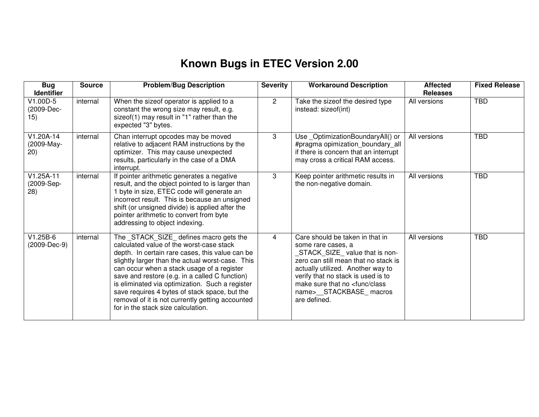## **Known Bugs in ETEC Version 2.00**

| <b>Bug</b><br><b>Identifier</b>   | <b>Source</b> | <b>Problem/Bug Description</b>                                                                                                                                                                                                                                                                                                                                                                                                                                                           | <b>Severity</b> | <b>Workaround Description</b>                                                                                                                                                                                                                                                                       | <b>Affected</b><br><b>Releases</b> | <b>Fixed Release</b> |
|-----------------------------------|---------------|------------------------------------------------------------------------------------------------------------------------------------------------------------------------------------------------------------------------------------------------------------------------------------------------------------------------------------------------------------------------------------------------------------------------------------------------------------------------------------------|-----------------|-----------------------------------------------------------------------------------------------------------------------------------------------------------------------------------------------------------------------------------------------------------------------------------------------------|------------------------------------|----------------------|
| V1.00D-5<br>(2009-Dec-<br>15)     | internal      | When the sizeof operator is applied to a<br>constant the wrong size may result, e.g.<br>sizeof(1) may result in "1" rather than the<br>expected "3" bytes.                                                                                                                                                                                                                                                                                                                               | $\overline{2}$  | Take the sizeof the desired type<br>instead: sizeof(int)                                                                                                                                                                                                                                            | All versions                       | <b>TBD</b>           |
| $V1.20A-14$<br>(2009-May-<br>20)  | internal      | Chan interrupt opcodes may be moved<br>relative to adjacent RAM instructions by the<br>optimizer. This may cause unexpected<br>results, particularly in the case of a DMA<br>interrupt.                                                                                                                                                                                                                                                                                                  | 3               | Use OptimizationBoundaryAll() or<br>#pragma opimization_boundary_all<br>if there is concern that an interrupt<br>may cross a critical RAM access.                                                                                                                                                   | All versions                       | <b>TBD</b>           |
| $V1.25A-11$<br>(2009-Sep-<br>(28) | internal      | If pointer arithmetic generates a negative<br>result, and the object pointed to is larger than<br>1 byte in size, ETEC code will generate an<br>incorrect result. This is because an unsigned<br>shift (or unsigned divide) is applied after the<br>pointer arithmetic to convert from byte<br>addressing to object indexing.                                                                                                                                                            | 3               | Keep pointer arithmetic results in<br>the non-negative domain.                                                                                                                                                                                                                                      | All versions                       | <b>TBD</b>           |
| $V1.25B-6$<br>(2009-Dec-9)        | internal      | The _STACK_SIZE_ defines macro gets the<br>calculated value of the worst-case stack<br>depth. In certain rare cases, this value can be<br>slightly larger than the actual worst-case. This<br>can occur when a stack usage of a register<br>save and restore (e.g. in a called C function)<br>is eliminated via optimization. Such a register<br>save requires 4 bytes of stack space, but the<br>removal of it is not currently getting accounted<br>for in the stack size calculation. | 4               | Care should be taken in that in<br>some rare cases, a<br>STACK_SIZE_value that is non-<br>zero can still mean that no stack is<br>actually utilized. Another way to<br>verify that no stack is used is to<br>make sure that no <func class<br="">name&gt;__STACKBASE_macros<br/>are defined.</func> | All versions                       | <b>TBD</b>           |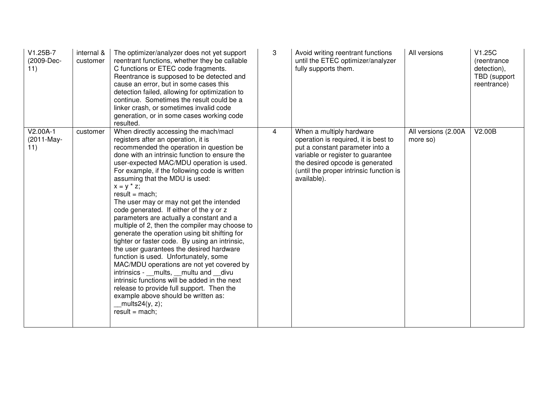| $V1.25B-7$<br>(2009-Dec-<br>11) | internal &<br>customer | The optimizer/analyzer does not yet support<br>reentrant functions, whether they be callable<br>C functions or ETEC code fragments.<br>Reentrance is supposed to be detected and<br>cause an error, but in some cases this<br>detection failed, allowing for optimization to<br>continue. Sometimes the result could be a<br>linker crash, or sometimes invalid code<br>generation, or in some cases working code<br>resulted.                                                                                                                                                                                                                                                                                                                                                                                                                                                                                                                                                           | 3 | Avoid writing reentrant functions<br>until the ETEC optimizer/analyzer<br>fully supports them.                                                                                                                                        | All versions                    | V1.25C<br>(reentrance<br>detection),<br>TBD (support<br>reentrance) |
|---------------------------------|------------------------|------------------------------------------------------------------------------------------------------------------------------------------------------------------------------------------------------------------------------------------------------------------------------------------------------------------------------------------------------------------------------------------------------------------------------------------------------------------------------------------------------------------------------------------------------------------------------------------------------------------------------------------------------------------------------------------------------------------------------------------------------------------------------------------------------------------------------------------------------------------------------------------------------------------------------------------------------------------------------------------|---|---------------------------------------------------------------------------------------------------------------------------------------------------------------------------------------------------------------------------------------|---------------------------------|---------------------------------------------------------------------|
| $V2.00A-1$<br>(2011-May-<br>11) | customer               | When directly accessing the mach/macl<br>registers after an operation, it is<br>recommended the operation in question be<br>done with an intrinsic function to ensure the<br>user-expected MAC/MDU operation is used.<br>For example, if the following code is written<br>assuming that the MDU is used:<br>$x = y * z$ ;<br>$result = mach;$<br>The user may or may not get the intended<br>code generated. If either of the y or z<br>parameters are actually a constant and a<br>multiple of 2, then the compiler may choose to<br>generate the operation using bit shifting for<br>tighter or faster code. By using an intrinsic,<br>the user guarantees the desired hardware<br>function is used. Unfortunately, some<br>MAC/MDU operations are not yet covered by<br>intrinsics - mults, multu and divu<br>intrinsic functions will be added in the next<br>release to provide full support. Then the<br>example above should be written as:<br>mults24(y, z);<br>$result = mach;$ | 4 | When a multiply hardware<br>operation is required, it is best to<br>put a constant parameter into a<br>variable or register to guarantee<br>the desired opcode is generated<br>(until the proper intrinsic function is<br>available). | All versions (2.00A<br>more so) | V2.00B                                                              |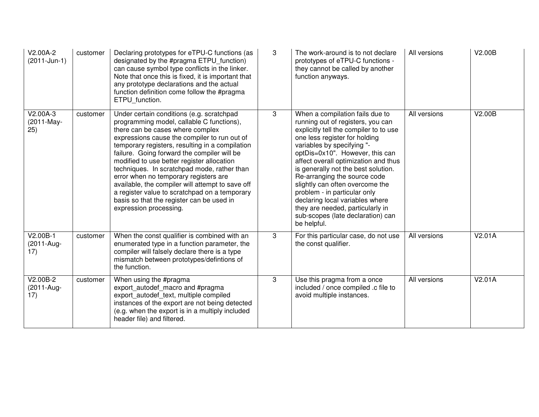| V2.00A-2<br>(2011-Jun-1)        | customer | Declaring prototypes for eTPU-C functions (as<br>designated by the #pragma ETPU_function)<br>can cause symbol type conflicts in the linker.<br>Note that once this is fixed, it is important that<br>any prototype declarations and the actual<br>function definition come follow the #pragma<br>ETPU function.                                                                                                                                                                                                                                                                                | 3 | The work-around is to not declare<br>prototypes of eTPU-C functions -<br>they cannot be called by another<br>function anyways.                                                                                                                                                                                                                                                                                                                                                                                                | All versions | V2.00B |
|---------------------------------|----------|------------------------------------------------------------------------------------------------------------------------------------------------------------------------------------------------------------------------------------------------------------------------------------------------------------------------------------------------------------------------------------------------------------------------------------------------------------------------------------------------------------------------------------------------------------------------------------------------|---|-------------------------------------------------------------------------------------------------------------------------------------------------------------------------------------------------------------------------------------------------------------------------------------------------------------------------------------------------------------------------------------------------------------------------------------------------------------------------------------------------------------------------------|--------------|--------|
| $V2.00A-3$<br>(2011-May-<br>25) | customer | Under certain conditions (e.g. scratchpad<br>programming model, callable C functions),<br>there can be cases where complex<br>expressions cause the compiler to run out of<br>temporary registers, resulting in a compilation<br>failure. Going forward the compiler will be<br>modified to use better register allocation<br>techniques. In scratchpad mode, rather than<br>error when no temporary registers are<br>available, the compiler will attempt to save off<br>a register value to scratchpad on a temporary<br>basis so that the register can be used in<br>expression processing. | 3 | When a compilation fails due to<br>running out of registers, you can<br>explicitly tell the compiler to to use<br>one less register for holding<br>variables by specifying "-<br>optDis=0x10". However, this can<br>affect overall optimization and thus<br>is generally not the best solution.<br>Re-arranging the source code<br>slightly can often overcome the<br>problem - in particular only<br>declaring local variables where<br>they are needed, particularly in<br>sub-scopes (late declaration) can<br>be helpful. | All versions | V2.00B |
| V2.00B-1<br>(2011-Aug-<br>17)   | customer | When the const qualifier is combined with an<br>enumerated type in a function parameter, the<br>compiler will falsely declare there is a type<br>mismatch between prototypes/defintions of<br>the function.                                                                                                                                                                                                                                                                                                                                                                                    | 3 | For this particular case, do not use<br>the const qualifier.                                                                                                                                                                                                                                                                                                                                                                                                                                                                  | All versions | V2.01A |
| V2.00B-2<br>(2011-Aug-<br>17)   | customer | When using the #pragma<br>export_autodef_macro and #pragma<br>export_autodef_text, multiple compiled<br>instances of the export are not being detected<br>(e.g. when the export is in a multiply included<br>header file) and filtered.                                                                                                                                                                                                                                                                                                                                                        | 3 | Use this pragma from a once<br>included / once compiled .c file to<br>avoid multiple instances.                                                                                                                                                                                                                                                                                                                                                                                                                               | All versions | V2.01A |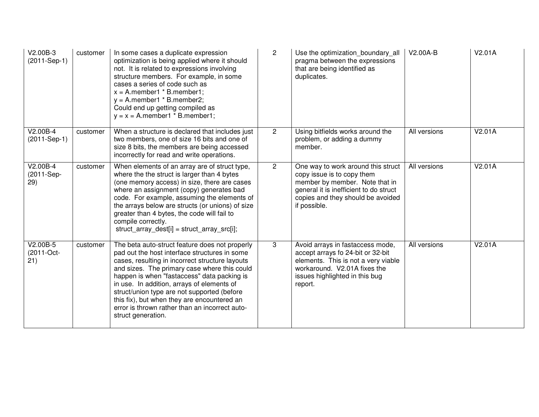| V2.00B-3<br>(2011-Sep-1)        | customer | In some cases a duplicate expression<br>optimization is being applied where it should<br>not. It is related to expressions involving<br>structure members. For example, in some<br>cases a series of code such as<br>$x =$ A.member1 $*$ B.member1;<br>$y =$ A.member1 $*$ B.member2;<br>Could end up getting compiled as<br>$y = x = A$ .member1 * B.member1;                                                                                                        | $\overline{2}$ | Use the optimization boundary all<br>pragma between the expressions<br>that are being identified as<br>duplicates.                                                                                | V2.00A-B     | V2.01A |
|---------------------------------|----------|-----------------------------------------------------------------------------------------------------------------------------------------------------------------------------------------------------------------------------------------------------------------------------------------------------------------------------------------------------------------------------------------------------------------------------------------------------------------------|----------------|---------------------------------------------------------------------------------------------------------------------------------------------------------------------------------------------------|--------------|--------|
| $V2.00B-4$<br>(2011-Sep-1)      | customer | When a structure is declared that includes just<br>two members, one of size 16 bits and one of<br>size 8 bits, the members are being accessed<br>incorrectly for read and write operations.                                                                                                                                                                                                                                                                           | $\overline{2}$ | Using bitfields works around the<br>problem, or adding a dummy<br>member.                                                                                                                         | All versions | V2.01A |
| V2.00B-4<br>(2011-Sep-<br>29)   | customer | When elements of an array are of struct type,<br>where the the struct is larger than 4 bytes<br>(one memory access) in size, there are cases<br>where an assignment (copy) generates bad<br>code. For example, assuming the elements of<br>the arrays below are structs (or unions) of size<br>greater than 4 bytes, the code will fail to<br>compile correctly.<br>struct_array_dest[i] = struct_array_src[i];                                                       | $\overline{2}$ | One way to work around this struct<br>copy issue is to copy them<br>member by member. Note that in<br>general it is inefficient to do struct<br>copies and they should be avoided<br>if possible. | All versions | V2.01A |
| $V2.00B-5$<br>(2011-Oct-<br>21) | customer | The beta auto-struct feature does not properly<br>pad out the host interface structures in some<br>cases, resulting in incorrect structure layouts<br>and sizes. The primary case where this could<br>happen is when "fastaccess" data packing is<br>in use. In addition, arrays of elements of<br>struct/union type are not supported (before<br>this fix), but when they are encountered an<br>error is thrown rather than an incorrect auto-<br>struct generation. | 3              | Avoid arrays in fastaccess mode,<br>accept arrays fo 24-bit or 32-bit<br>elements. This is not a very viable<br>workaround. V2.01A fixes the<br>issues highlighted in this bug<br>report.         | All versions | V2.01A |